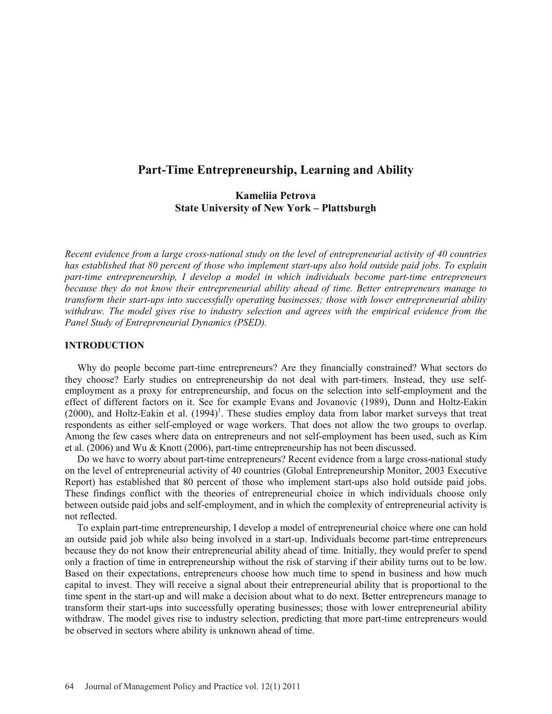# **Part-Time Entrepreneurship, Learning and Ability**

# **Kameliia Petrova State University of New York – Plattsburgh**

*Recent evidence from a large cross-national study on the level of entrepreneurial activity of 40 countries has established that 80 percent of those who implement start-ups also hold outside paid jobs. To explain part-time entrepreneurship, I develop a model in which individuals become part-time entrepreneurs because they do not know their entrepreneurial ability ahead of time. Better entrepreneurs manage to transform their start-ups into successfully operating businesses; those with lower entrepreneurial ability withdraw. The model gives rise to industry selection and agrees with the empirical evidence from the Panel Study of Entrepreneurial Dynamics (PSED).* 

### **INTRODUCTION**

Why do people become part-time entrepreneurs? Are they financially constrained? What sectors do they choose? Early studies on entrepreneurship do not deal with part-timers. Instead, they use selfemployment as a proxy for entrepreneurship, and focus on the selection into self-employment and the effect of different factors on it. See for example Evans and Jovanovic (1989), Dunn and Holtz-Eakin  $(2000)$ , and Holtz-Eakin et al.  $(1994)^1$ . These studies employ data from labor market surveys that treat respondents as either self-employed or wage workers. That does not allow the two groups to overlap. Among the few cases where data on entrepreneurs and not self-employment has been used, such as Kim et al. (2006) and Wu & Knott (2006), part-time entrepreneurship has not been discussed.

Do we have to worry about part-time entrepreneurs? Recent evidence from a large cross-national study on the level of entrepreneurial activity of 40 countries (Global Entrepreneurship Monitor, 2003 Executive Report) has established that 80 percent of those who implement start-ups also hold outside paid jobs. These findings conflict with the theories of entrepreneurial choice in which individuals choose only between outside paid jobs and self-employment, and in which the complexity of entrepreneurial activity is not reflected.

 To explain part-time entrepreneurship, I develop a model of entrepreneurial choice where one can hold an outside paid job while also being involved in a start-up. Individuals become part-time entrepreneurs because they do not know their entrepreneurial ability ahead of time. Initially, they would prefer to spend only a fraction of time in entrepreneurship without the risk of starving if their ability turns out to be low. Based on their expectations, entrepreneurs choose how much time to spend in business and how much capital to invest. They will receive a signal about their entrepreneurial ability that is proportional to the time spent in the start-up and will make a decision about what to do next. Better entrepreneurs manage to transform their start-ups into successfully operating businesses; those with lower entrepreneurial ability withdraw. The model gives rise to industry selection, predicting that more part-time entrepreneurs would be observed in sectors where ability is unknown ahead of time.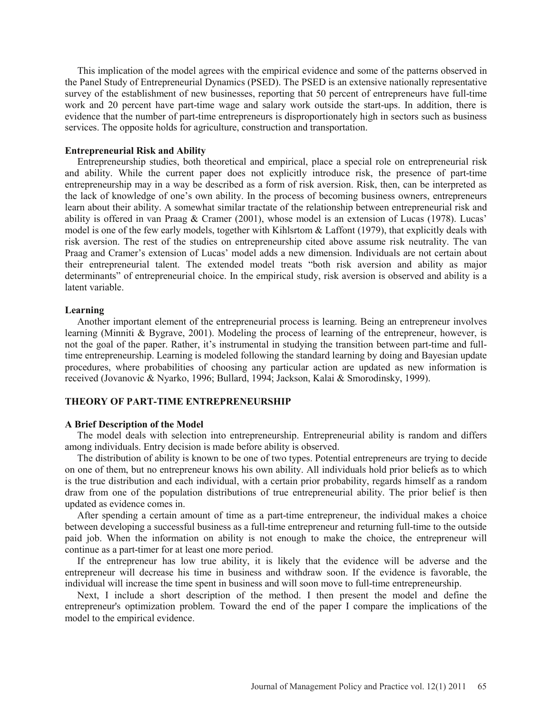This implication of the model agrees with the empirical evidence and some of the patterns observed in the Panel Study of Entrepreneurial Dynamics (PSED). The PSED is an extensive nationally representative survey of the establishment of new businesses, reporting that 50 percent of entrepreneurs have full-time work and 20 percent have part-time wage and salary work outside the start-ups. In addition, there is evidence that the number of part-time entrepreneurs is disproportionately high in sectors such as business services. The opposite holds for agriculture, construction and transportation.

## **Entrepreneurial Risk and Ability**

Entrepreneurship studies, both theoretical and empirical, place a special role on entrepreneurial risk and ability. While the current paper does not explicitly introduce risk, the presence of part-time entrepreneurship may in a way be described as a form of risk aversion. Risk, then, can be interpreted as the lack of knowledge of one's own ability. In the process of becoming business owners, entrepreneurs learn about their ability. A somewhat similar tractate of the relationship between entrepreneurial risk and ability is offered in van Praag & Cramer (2001), whose model is an extension of Lucas (1978). Lucas' model is one of the few early models, together with Kihlsrtom & Laffont (1979), that explicitly deals with risk aversion. The rest of the studies on entrepreneurship cited above assume risk neutrality. The van Praag and Cramer's extension of Lucas' model adds a new dimension. Individuals are not certain about their entrepreneurial talent. The extended model treats "both risk aversion and ability as major determinants" of entrepreneurial choice. In the empirical study, risk aversion is observed and ability is a latent variable.

### **Learning**

Another important element of the entrepreneurial process is learning. Being an entrepreneur involves learning (Minniti & Bygrave, 2001). Modeling the process of learning of the entrepreneur, however, is not the goal of the paper. Rather, it's instrumental in studying the transition between part-time and fulltime entrepreneurship. Learning is modeled following the standard learning by doing and Bayesian update procedures, where probabilities of choosing any particular action are updated as new information is received (Jovanovic & Nyarko, 1996; Bullard, 1994; Jackson, Kalai & Smorodinsky, 1999).

## **THEORY OF PART-TIME ENTREPRENEURSHIP**

#### **A Brief Description of the Model**

The model deals with selection into entrepreneurship. Entrepreneurial ability is random and differs among individuals. Entry decision is made before ability is observed.

The distribution of ability is known to be one of two types. Potential entrepreneurs are trying to decide on one of them, but no entrepreneur knows his own ability. All individuals hold prior beliefs as to which is the true distribution and each individual, with a certain prior probability, regards himself as a random draw from one of the population distributions of true entrepreneurial ability. The prior belief is then updated as evidence comes in.

After spending a certain amount of time as a part-time entrepreneur, the individual makes a choice between developing a successful business as a full-time entrepreneur and returning full-time to the outside paid job. When the information on ability is not enough to make the choice, the entrepreneur will continue as a part-timer for at least one more period.

If the entrepreneur has low true ability, it is likely that the evidence will be adverse and the entrepreneur will decrease his time in business and withdraw soon. If the evidence is favorable, the individual will increase the time spent in business and will soon move to full-time entrepreneurship.

Next, I include a short description of the method. I then present the model and define the entrepreneur's optimization problem. Toward the end of the paper I compare the implications of the model to the empirical evidence.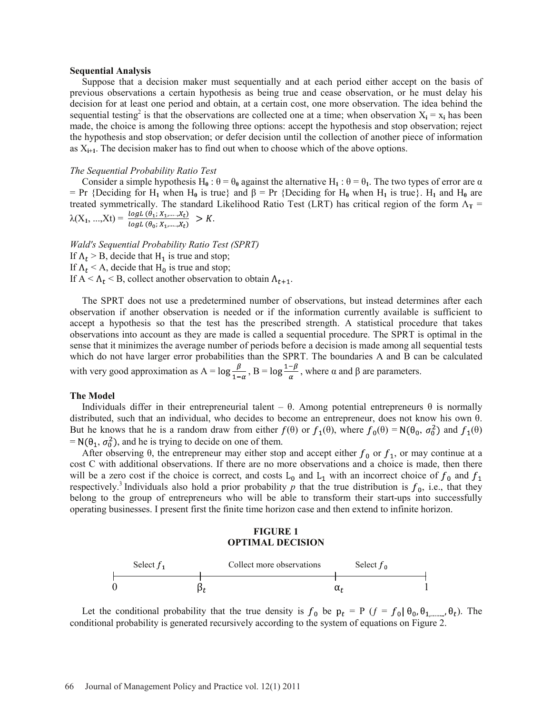#### **Sequential Analysis**

Suppose that a decision maker must sequentially and at each period either accept on the basis of previous observations a certain hypothesis as being true and cease observation, or he must delay his decision for at least one period and obtain, at a certain cost, one more observation. The idea behind the sequential testing<sup>2</sup> is that the observations are collected one at a time; when observation  $X_i = x_i$  has been made, the choice is among the following three options: accept the hypothesis and stop observation; reject the hypothesis and stop observation; or defer decision until the collection of another piece of information as  $X_{i+1}$ . The decision maker has to find out when to choose which of the above options.

#### *The Sequential Probability Ratio Test*

Consider a simple hypothesis  $H_0$ :  $\theta = \theta_0$  against the alternative  $H_1$ :  $\theta = \theta_1$ . The two types of error are  $\alpha$  $=$  Pr {Deciding for H<sub>1</sub> when H<sub>0</sub> is true} and  $\beta$  = Pr {Deciding for H<sub>0</sub> when H<sub>1</sub> is true}. H<sub>1</sub> and H<sub>0</sub> are treated symmetrically. The standard Likelihood Ratio Test (LRT) has critical region of the form  $\Lambda_T$  =  $\lambda(X_1, ..., X_t) =$ 

*Wald's Sequential Probability Ratio Test (SPRT)*

If  $\Lambda_t > B$ , decide that H<sub>1</sub> is true and stop;

If  $\Lambda_t$  < A, decide that H<sub>0</sub> is true and stop;

If  $A < \Lambda_t$  < B, collect another observation to obtain  $\Lambda_{t+1}$ .

The SPRT does not use a predetermined number of observations, but instead determines after each observation if another observation is needed or if the information currently available is sufficient to accept a hypothesis so that the test has the prescribed strength. A statistical procedure that takes observations into account as they are made is called a sequential procedure. The SPRT is optimal in the sense that it minimizes the average number of periods before a decision is made among all sequential tests which do not have larger error probabilities than the SPRT. The boundaries A and B can be calculated with very good approximation as A =  $\log \frac{P}{\log X}$ , B =  $\log \frac{1-P}{\log X}$ , where  $\alpha$  and  $\beta$  are parameters.

#### **The Model**

Individuals differ in their entrepreneurial talent –  $\theta$ . Among potential entrepreneurs  $\theta$  is normally distributed, such that an individual, who decides to become an entrepreneur, does not know his own  $\theta$ . But he knows that he is a random draw from either  $f(\theta)$  or  $f_1(\theta)$ , where  $f_0(\theta) = N(\theta_0, \sigma_0^2)$  and  $f_1(\theta)$  $= N(\theta_1, \sigma_0^2)$ , and he is trying to decide on one of them.

After observing  $\theta$ , the entrepreneur may either stop and accept either  $f_0$  or  $f_1$ , or may continue at a cost C with additional observations. If there are no more observations and a choice is made, then there will be a zero cost if the choice is correct, and costs  $L_0$  and  $L_1$  with an incorrect choice of  $f_0$  and  $f_1$ respectively.<sup>3</sup> Individuals also hold a prior probability p that the true distribution is  $f_0$ , i.e., that they belong to the group of entrepreneurs who will be able to transform their start-ups into successfully operating businesses. I present first the finite time horizon case and then extend to infinite horizon.

### **FIGURE 1 OPTIMAL DECISION**



Let the conditional probability that the true density is  $f_0$  be  $p_t = P$  ( $f = f_0 | \theta_0, \theta_1, \dots, \theta_t$ ). The conditional probability is generated recursively according to the system of equations on Figure 2.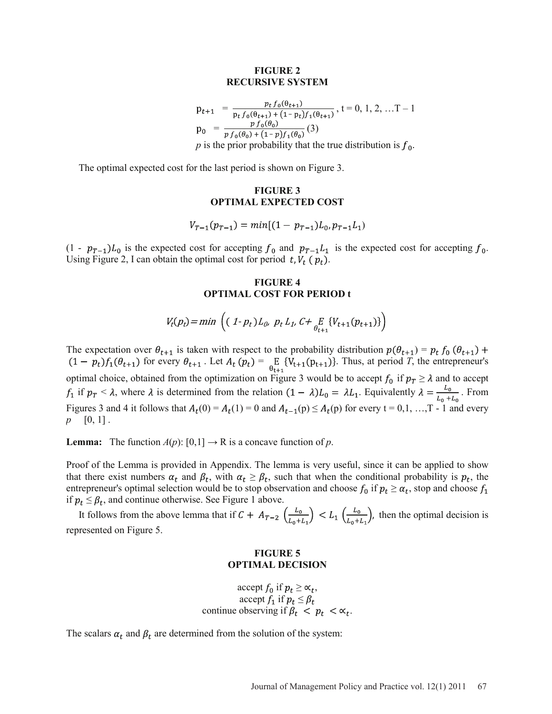### **FIGURE 2 RECURSIVE SYSTEM**

$$
p_{t+1} = \frac{p_t f_0(\theta_{t+1})}{p_t f_0(\theta_{t+1}) + (1 - p_t) f_1(\theta_{t+1})}, t = 0, 1, 2, ...T - 1
$$
  
\n
$$
p_0 = \frac{p f_0(\theta_0)}{p f_0(\theta_0) + (1 - p) f_1(\theta_0)} (3)
$$
  
\n*p* is the prior probability that the true distribution is  $f_0$ .

The optimal expected cost for the last period is shown on Figure 3.

## **FIGURE 3 OPTIMAL EXPECTED COST**

$$
V_{T-1}(p_{T-1}) = min[(1 - p_{T-1})L_0, p_{T-1}L_1)
$$

 $(1 - p_{T-1})L_0$  is the expected cost for accepting  $f_0$  and  $p_{T-1}L_1$  is the expected cost for accepting  $f_0$ . Using Figure 2, I can obtain the optimal cost for period t,  $V_t$  ( $p_t$ ).

## **FIGURE 4 OPTIMAL COST FOR PERIOD t**

$$
V_t(p_t) = \min \left( (1 - p_t) L_{0}, \ p_t L_{1}, C + \underset{\theta_{t+1}}{E} \{ V_{t+1}(p_{t+1}) \} \right)
$$

The expectation over  $\theta_{t+1}$  is taken with respect to the probability distribution  $p(\theta_{t+1}) = p_t f_0(\theta_{t+1}) +$  $f_1(t-p_t)f_1(\theta_{t+1})$  for every  $\theta_{t+1}$ . Let  $A_t(p_t) = \underset{\theta_{t+1}}{\mathbb{E}} \{V_{t+1}(p_{t+1})\}$ . Thus, at period *T*, the entrepreneur's optimal choice, obtained from the optimization on Figure 3 would be to accept  $f_0$  if  $p_T \ge \lambda$  and to accept  $f_1$  if  $p_T < \lambda$ , where  $\lambda$  is determined from the relation  $(1 - \lambda)L_0 = \lambda L_1$ . Equivalently  $\lambda = \frac{L_0}{L_0 + L_0}$ . From Figures 3 and 4 it follows that  $A_t(0) = A_t(1) = 0$  and  $A_{t-1}(p) \le A_t(p)$  for every  $t = 0,1, ..., T - 1$  and every *p* [0, 1] .

**Lemma:** The function  $A(p)$ :  $[0,1] \rightarrow \mathbb{R}$  is a concave function of *p*.

Proof of the Lemma is provided in Appendix. The lemma is very useful, since it can be applied to show that there exist numbers  $\alpha_t$  and  $\beta_t$ , with  $\alpha_t \geq \beta_t$ , such that when the conditional probability is  $p_t$ , the entrepreneur's optimal selection would be to stop observation and choose  $f_0$  if  $p_t \geq \alpha_t$ , stop and choose  $f_1$ if  $p_t \leq \beta_t$ , and continue otherwise. See Figure 1 above.

It follows from the above lemma that if  $C + A_{T-2}$   $\left(\frac{L_0}{L_0 + L_1}\right) < L_1$   $\left(\frac{L_0}{L_0 + L_1}\right)$ , then the optimal decision is represented on Figure 5.

## **FIGURE 5 OPTIMAL DECISION**

accept  $f_0$  if  $p_t \geq \infty_t$ , accept  $f_1$  if  $p_t \leq \beta_t$ continue observing if  $\beta_t$  <  $p_t$  <  $\alpha_t$ .

The scalars  $\alpha_t$  and  $\beta_t$  are determined from the solution of the system: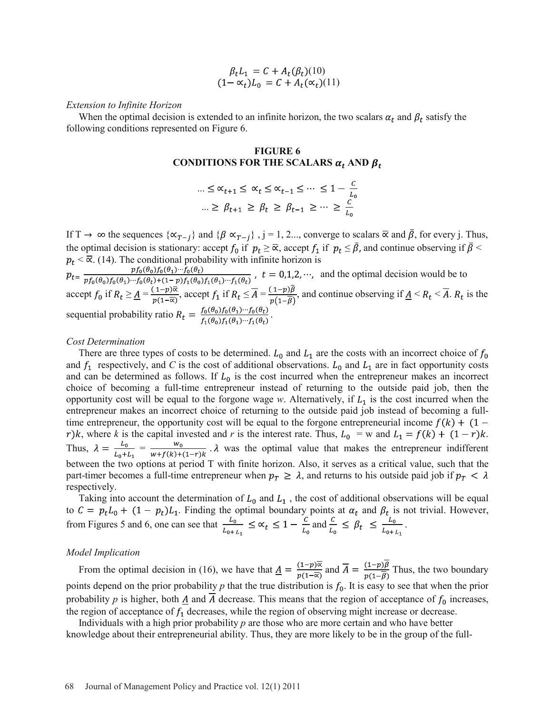$$
\beta_t L_1 = C + A_t(\beta_t)(10)
$$
  

$$
(1 - \alpha_t)L_0 = C + A_t(\alpha_t)(11)
$$

#### *Extension to Infinite Horizon*

When the optimal decision is extended to an infinite horizon, the two scalars  $\alpha_t$  and  $\beta_t$  satisfy the following conditions represented on Figure 6.

### **FIGURE 6** CONDITIONS FOR THE SCALARS  $\alpha_t$  and  $\beta_t$

$$
\begin{aligned}\n\ldots \leq \alpha_{t+1} \leq \alpha_t \leq \alpha_{t-1} \leq \cdots \leq 1 - \frac{c}{L_0} \\
\ldots \geq \beta_{t+1} \geq \beta_t \geq \beta_{t-1} \geq \cdots \geq \frac{c}{L_0}\n\end{aligned}
$$

If T  $\rightarrow \infty$  the sequences  $\{\alpha_{T-i}\}\$  and  $\{\beta \alpha_{T-i}\}\$ , j = 1, 2..., converge to scalars  $\overline{\alpha}$  and  $\overline{\beta}$ , for every j. Thus, the optimal decision is stationary: accept  $f_0$  if  $p_t \geq \overline{\alpha}$ , accept  $f_1$  if  $p_t \leq \overline{\beta}$ , and continue observing if  $\overline{\beta}$  <  $p_t < \overline{\alpha}$ . (14). The conditional probability with infinite horizon is

and the optimal decision would be to accept  $f_0$  if  $R_t \ge A = \frac{(1-p)\alpha}{(4-p)}$ , accept  $f_1$  if  $R_t \le A = \frac{(1-p)p}{(4-p)}$ , and continue observing if  $A \le R_t \le A$ .  $R_t$  is the sequential probability ratio  $R_t = \frac{f_0(\theta_0) f_0(\theta_1) \cdots f_0(\theta_t)}{f_1(\theta_0) f_1(\theta_1) \cdots f_1(\theta_t)}$ 

#### *Cost Determination*

There are three types of costs to be determined.  $L_0$  and  $L_1$  are the costs with an incorrect choice of  $f_0$ and  $f_1$  respectively, and *C* is the cost of additional observations.  $L_0$  and  $L_1$  are in fact opportunity costs and can be determined as follows. If  $L_0$  is the cost incurred when the entrepreneur makes an incorrect choice of becoming a full-time entrepreneur instead of returning to the outside paid job, then the opportunity cost will be equal to the forgone wage  $w$ . Alternatively, if  $L_1$  is the cost incurred when the entrepreneur makes an incorrect choice of returning to the outside paid job instead of becoming a fulltime entrepreneur, the opportunity cost will be equal to the forgone entrepreneurial income  $f(k) + (1 -$ , where *k* is the capital invested and *r* is the interest rate. Thus,  $L_0 = w$  and  $L_1 = f(k) + (1 - r)k$ . Thus,  $\lambda = \frac{L_0}{L_0} = \frac{w_0}{w_0}$ .  $\lambda$  was the optimal value that makes the entrepreneur indifferent between the two options at period T with finite horizon. Also, it serves as a critical value, such that the part-timer becomes a full-time entrepreneur when  $p_T \geq \lambda$ , and returns to his outside paid job if  $p_T < \lambda$ respectively.

Taking into account the determination of  $L_0$  and  $L_1$ , the cost of additional observations will be equal to  $C = p_t L_0 + (1 - p_t) L_1$ . Finding the optimal boundary points at  $\alpha_t$  and  $\beta_t$  is not trivial. However, from Figures 5 and 6, one can see that  $\frac{L_0}{L_0} \leq \alpha_t \leq 1 - \frac{L_0}{L_0}$  and  $\frac{L}{L_0} \leq \beta_t \leq \frac{L_0}{L_0}$ .

#### *Model Implication*

From the optimal decision in (16), we have that  $\underline{A} = \frac{(1-p)\overline{\alpha}}{p(1-\overline{\alpha})}$  and  $\overline{A} = \frac{(1-p)\overline{\beta}}{p(1-\overline{\beta})}$  Thus, the two boundary points depend on the prior probability  $p$  that the true distribution is  $f_0$ . It is easy to see that when the prior probability  $p$  is higher, both  $\underline{A}$  and  $A$  decrease. This means that the region of acceptance of  $f_0$  increases, the region of acceptance of  $f_1$  decreases, while the region of observing might increase or decrease.

Individuals with a high prior probability *p* are those who are more certain and who have better knowledge about their entrepreneurial ability. Thus, they are more likely to be in the group of the full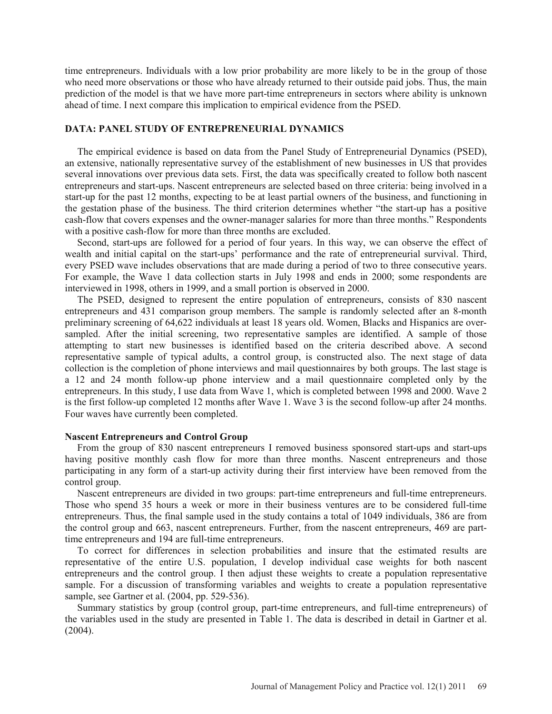time entrepreneurs. Individuals with a low prior probability are more likely to be in the group of those who need more observations or those who have already returned to their outside paid jobs. Thus, the main prediction of the model is that we have more part-time entrepreneurs in sectors where ability is unknown ahead of time. I next compare this implication to empirical evidence from the PSED.

## **DATA: PANEL STUDY OF ENTREPRENEURIAL DYNAMICS**

The empirical evidence is based on data from the Panel Study of Entrepreneurial Dynamics (PSED), an extensive, nationally representative survey of the establishment of new businesses in US that provides several innovations over previous data sets. First, the data was specifically created to follow both nascent entrepreneurs and start-ups. Nascent entrepreneurs are selected based on three criteria: being involved in a start-up for the past 12 months, expecting to be at least partial owners of the business, and functioning in the gestation phase of the business. The third criterion determines whether "the start-up has a positive cash-flow that covers expenses and the owner-manager salaries for more than three months." Respondents with a positive cash-flow for more than three months are excluded.

Second, start-ups are followed for a period of four years. In this way, we can observe the effect of wealth and initial capital on the start-ups' performance and the rate of entrepreneurial survival. Third, every PSED wave includes observations that are made during a period of two to three consecutive years. For example, the Wave 1 data collection starts in July 1998 and ends in 2000; some respondents are interviewed in 1998, others in 1999, and a small portion is observed in 2000.

The PSED, designed to represent the entire population of entrepreneurs, consists of 830 nascent entrepreneurs and 431 comparison group members. The sample is randomly selected after an 8-month preliminary screening of 64,622 individuals at least 18 years old. Women, Blacks and Hispanics are oversampled. After the initial screening, two representative samples are identified. A sample of those attempting to start new businesses is identified based on the criteria described above. A second representative sample of typical adults, a control group, is constructed also. The next stage of data collection is the completion of phone interviews and mail questionnaires by both groups. The last stage is a 12 and 24 month follow-up phone interview and a mail questionnaire completed only by the entrepreneurs. In this study, I use data from Wave 1, which is completed between 1998 and 2000. Wave 2 is the first follow-up completed 12 months after Wave 1. Wave 3 is the second follow-up after 24 months. Four waves have currently been completed.

## **Nascent Entrepreneurs and Control Group**

From the group of 830 nascent entrepreneurs I removed business sponsored start-ups and start-ups having positive monthly cash flow for more than three months. Nascent entrepreneurs and those participating in any form of a start-up activity during their first interview have been removed from the control group.

Nascent entrepreneurs are divided in two groups: part-time entrepreneurs and full-time entrepreneurs. Those who spend 35 hours a week or more in their business ventures are to be considered full-time entrepreneurs. Thus, the final sample used in the study contains a total of 1049 individuals, 386 are from the control group and 663, nascent entrepreneurs. Further, from the nascent entrepreneurs, 469 are parttime entrepreneurs and 194 are full-time entrepreneurs.

To correct for differences in selection probabilities and insure that the estimated results are representative of the entire U.S. population, I develop individual case weights for both nascent entrepreneurs and the control group. I then adjust these weights to create a population representative sample. For a discussion of transforming variables and weights to create a population representative sample, see Gartner et al. (2004, pp. 529-536).

Summary statistics by group (control group, part-time entrepreneurs, and full-time entrepreneurs) of the variables used in the study are presented in Table 1. The data is described in detail in Gartner et al. (2004).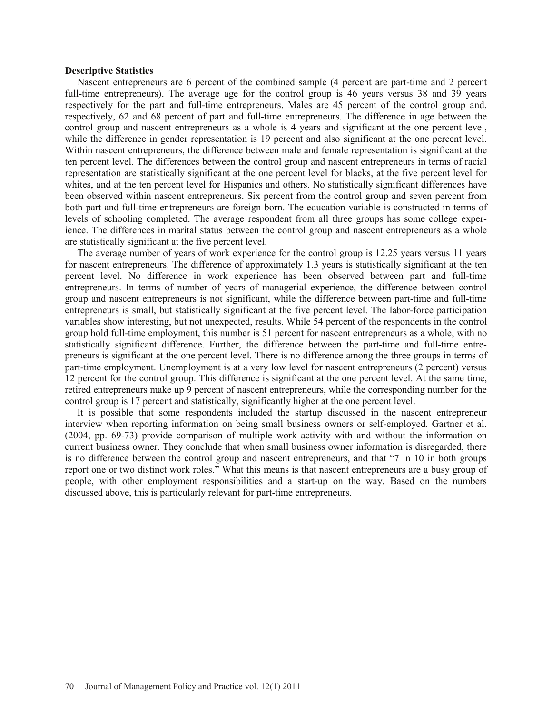### **Descriptive Statistics**

Nascent entrepreneurs are 6 percent of the combined sample (4 percent are part-time and 2 percent full-time entrepreneurs). The average age for the control group is 46 years versus 38 and 39 years respectively for the part and full-time entrepreneurs. Males are 45 percent of the control group and, respectively, 62 and 68 percent of part and full-time entrepreneurs. The difference in age between the control group and nascent entrepreneurs as a whole is 4 years and significant at the one percent level, while the difference in gender representation is 19 percent and also significant at the one percent level. Within nascent entrepreneurs, the difference between male and female representation is significant at the ten percent level. The differences between the control group and nascent entrepreneurs in terms of racial representation are statistically significant at the one percent level for blacks, at the five percent level for whites, and at the ten percent level for Hispanics and others. No statistically significant differences have been observed within nascent entrepreneurs. Six percent from the control group and seven percent from both part and full-time entrepreneurs are foreign born. The education variable is constructed in terms of levels of schooling completed. The average respondent from all three groups has some college experience. The differences in marital status between the control group and nascent entrepreneurs as a whole are statistically significant at the five percent level.

The average number of years of work experience for the control group is 12.25 years versus 11 years for nascent entrepreneurs. The difference of approximately 1.3 years is statistically significant at the ten percent level. No difference in work experience has been observed between part and full-time entrepreneurs. In terms of number of years of managerial experience, the difference between control group and nascent entrepreneurs is not significant, while the difference between part-time and full-time entrepreneurs is small, but statistically significant at the five percent level. The labor-force participation variables show interesting, but not unexpected, results. While 54 percent of the respondents in the control group hold full-time employment, this number is 51 percent for nascent entrepreneurs as a whole, with no statistically significant difference. Further, the difference between the part-time and full-time entrepreneurs is significant at the one percent level. There is no difference among the three groups in terms of part-time employment. Unemployment is at a very low level for nascent entrepreneurs (2 percent) versus 12 percent for the control group. This difference is significant at the one percent level. At the same time, retired entrepreneurs make up 9 percent of nascent entrepreneurs, while the corresponding number for the control group is 17 percent and statistically, significantly higher at the one percent level.

It is possible that some respondents included the startup discussed in the nascent entrepreneur interview when reporting information on being small business owners or self-employed. Gartner et al. (2004, pp. 69-73) provide comparison of multiple work activity with and without the information on current business owner. They conclude that when small business owner information is disregarded, there is no difference between the control group and nascent entrepreneurs, and that "7 in 10 in both groups report one or two distinct work roles." What this means is that nascent entrepreneurs are a busy group of people, with other employment responsibilities and a start-up on the way. Based on the numbers discussed above, this is particularly relevant for part-time entrepreneurs.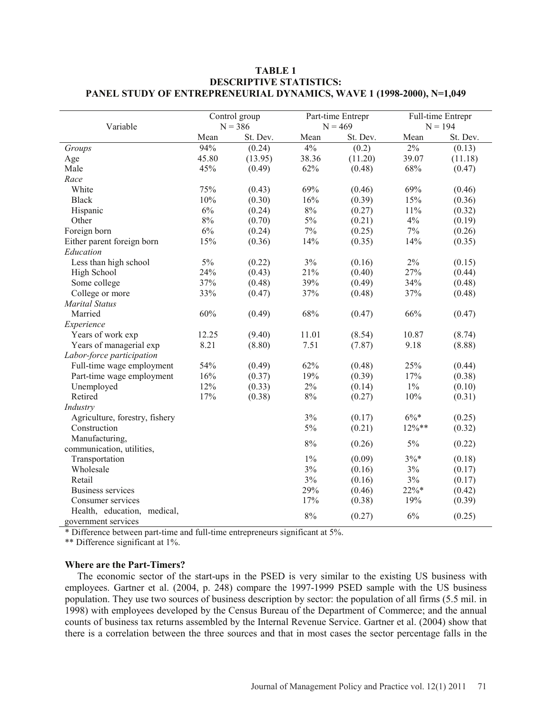| Variable                                           | Control group |          | Part-time Entrepr |          | Full-time Entrepr |          |
|----------------------------------------------------|---------------|----------|-------------------|----------|-------------------|----------|
|                                                    | $N = 386$     |          | $N = 469$         |          | $N = 194$         |          |
|                                                    | Mean          | St. Dev. | Mean              | St. Dev. | Mean              | St. Dev. |
| Groups                                             | 94%           | (0.24)   | 4%                | (0.2)    | $2\%$             | (0.13)   |
| Age                                                | 45.80         | (13.95)  | 38.36             | (11.20)  | 39.07             | (11.18)  |
| Male                                               | 45%           | (0.49)   | 62%               | (0.48)   | 68%               | (0.47)   |
| Race                                               |               |          |                   |          |                   |          |
| White                                              | 75%           | (0.43)   | 69%               | (0.46)   | 69%               | (0.46)   |
| <b>Black</b>                                       | 10%           | (0.30)   | 16%               | (0.39)   | 15%               | (0.36)   |
| Hispanic                                           | 6%            | (0.24)   | $8\%$             | (0.27)   | 11%               | (0.32)   |
| Other                                              | $8\%$         | (0.70)   | $5\%$             | (0.21)   | $4\%$             | (0.19)   |
| Foreign born                                       | $6\%$         | (0.24)   | $7\%$             | (0.25)   | $7\%$             | (0.26)   |
| Either parent foreign born                         | 15%           | (0.36)   | 14%               | (0.35)   | 14%               | (0.35)   |
| Education                                          |               |          |                   |          |                   |          |
| Less than high school                              | 5%            | (0.22)   | 3%                | (0.16)   | 2%                | (0.15)   |
| High School                                        | 24%           | (0.43)   | 21%               | (0.40)   | 27%               | (0.44)   |
| Some college                                       | 37%           | (0.48)   | 39%               | (0.49)   | 34%               | (0.48)   |
| College or more                                    | 33%           | (0.47)   | 37%               | (0.48)   | 37%               | (0.48)   |
| <b>Marital Status</b>                              |               |          |                   |          |                   |          |
| Married                                            | 60%           | (0.49)   | 68%               | (0.47)   | 66%               | (0.47)   |
| Experience                                         |               |          |                   |          |                   |          |
| Years of work exp                                  | 12.25         | (9.40)   | 11.01             | (8.54)   | 10.87             | (8.74)   |
| Years of managerial exp                            | 8.21          | (8.80)   | 7.51              | (7.87)   | 9.18              | (8.88)   |
| Labor-force participation                          |               |          |                   |          |                   |          |
| Full-time wage employment                          | 54%           | (0.49)   | 62%               | (0.48)   | 25%               | (0.44)   |
| Part-time wage employment                          | 16%           | (0.37)   | 19%               | (0.39)   | 17%               | (0.38)   |
| Unemployed                                         | 12%           | (0.33)   | 2%                | (0.14)   | $1\%$             | (0.10)   |
| Retired                                            | 17%           | (0.38)   | $8\%$             | (0.27)   | 10%               | (0.31)   |
| Industry                                           |               |          |                   |          |                   |          |
| Agriculture, forestry, fishery                     |               |          | 3%                | (0.17)   | $6\% *$           | (0.25)   |
| Construction                                       |               |          | 5%                | (0.21)   | $12\%**$          | (0.32)   |
| Manufacturing,                                     |               |          | $8\%$             |          | $5\%$             |          |
| communication, utilities,                          |               |          |                   | (0.26)   |                   | (0.22)   |
| Transportation                                     |               |          | $1\%$             | (0.09)   | $3\%*$            | (0.18)   |
| Wholesale                                          |               |          | 3%                | (0.16)   | $3\%$             | (0.17)   |
| Retail                                             |               |          | $3\%$             | (0.16)   | $3\%$             | (0.17)   |
| <b>Business services</b>                           |               |          | 29%               | (0.46)   | $22\%*$           | (0.42)   |
| Consumer services                                  |               |          | 17%               | (0.38)   | 19%               | (0.39)   |
| Health, education, medical,<br>government services |               |          | $8\%$             | (0.27)   | 6%                | (0.25)   |

## **TABLE 1 DESCRIPTIVE STATISTICS: PANEL STUDY OF ENTREPRENEURIAL DYNAMICS, WAVE 1 (1998-2000), N=1,049**

\* Difference between part-time and full-time entrepreneurs significant at 5%.

\*\* Difference significant at 1%.

## **Where are the Part-Timers?**

The economic sector of the start-ups in the PSED is very similar to the existing US business with employees. Gartner et al. (2004, p. 248) compare the 1997-1999 PSED sample with the US business population. They use two sources of business description by sector: the population of all firms (5.5 mil. in 1998) with employees developed by the Census Bureau of the Department of Commerce; and the annual counts of business tax returns assembled by the Internal Revenue Service. Gartner et al. (2004) show that there is a correlation between the three sources and that in most cases the sector percentage falls in the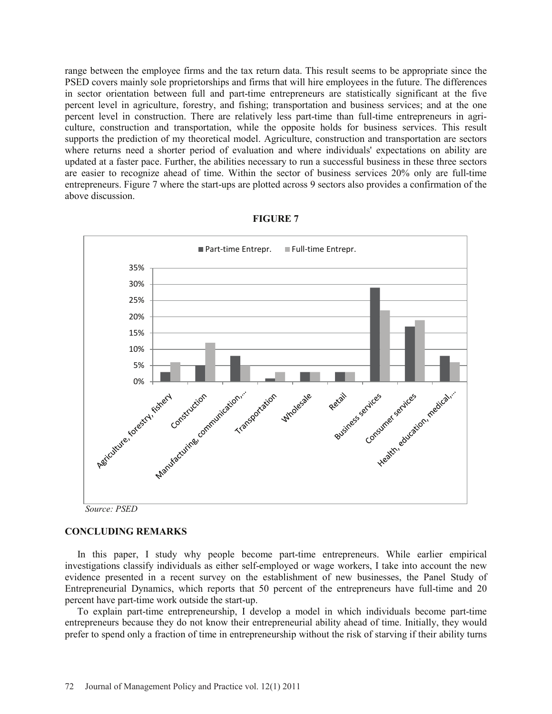range between the employee firms and the tax return data. This result seems to be appropriate since the PSED covers mainly sole proprietorships and firms that will hire employees in the future. The differences in sector orientation between full and part-time entrepreneurs are statistically significant at the five percent level in agriculture, forestry, and fishing; transportation and business services; and at the one percent level in construction. There are relatively less part-time than full-time entrepreneurs in agriculture, construction and transportation, while the opposite holds for business services. This result supports the prediction of my theoretical model. Agriculture, construction and transportation are sectors where returns need a shorter period of evaluation and where individuals' expectations on ability are updated at a faster pace. Further, the abilities necessary to run a successful business in these three sectors are easier to recognize ahead of time. Within the sector of business services 20% only are full-time entrepreneurs. Figure 7 where the start-ups are plotted across 9 sectors also provides a confirmation of the above discussion.



#### **FIGURE 7**

## **CONCLUDING REMARKS**

In this paper, I study why people become part-time entrepreneurs. While earlier empirical investigations classify individuals as either self-employed or wage workers, I take into account the new evidence presented in a recent survey on the establishment of new businesses, the Panel Study of Entrepreneurial Dynamics, which reports that 50 percent of the entrepreneurs have full-time and 20 percent have part-time work outside the start-up.

To explain part-time entrepreneurship, I develop a model in which individuals become part-time entrepreneurs because they do not know their entrepreneurial ability ahead of time. Initially, they would prefer to spend only a fraction of time in entrepreneurship without the risk of starving if their ability turns

*Source: PSED*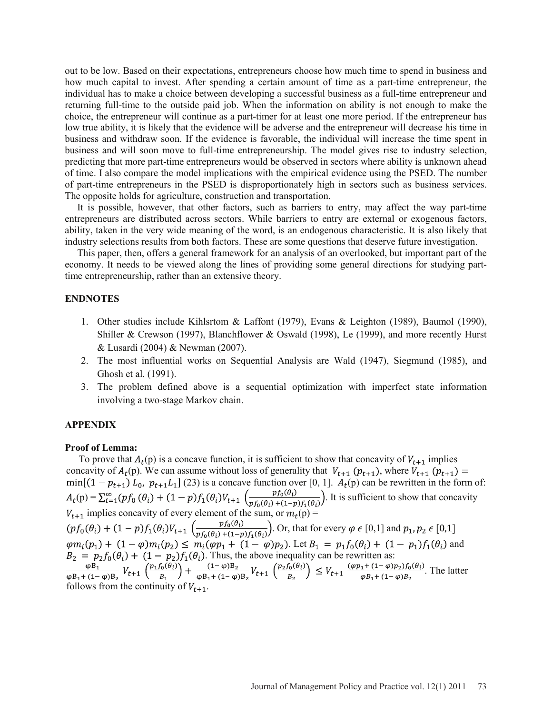out to be low. Based on their expectations, entrepreneurs choose how much time to spend in business and how much capital to invest. After spending a certain amount of time as a part-time entrepreneur, the individual has to make a choice between developing a successful business as a full-time entrepreneur and returning full-time to the outside paid job. When the information on ability is not enough to make the choice, the entrepreneur will continue as a part-timer for at least one more period. If the entrepreneur has low true ability, it is likely that the evidence will be adverse and the entrepreneur will decrease his time in business and withdraw soon. If the evidence is favorable, the individual will increase the time spent in business and will soon move to full-time entrepreneurship. The model gives rise to industry selection, predicting that more part-time entrepreneurs would be observed in sectors where ability is unknown ahead of time. I also compare the model implications with the empirical evidence using the PSED. The number of part-time entrepreneurs in the PSED is disproportionately high in sectors such as business services. The opposite holds for agriculture, construction and transportation.

It is possible, however, that other factors, such as barriers to entry, may affect the way part-time entrepreneurs are distributed across sectors. While barriers to entry are external or exogenous factors, ability, taken in the very wide meaning of the word, is an endogenous characteristic. It is also likely that industry selections results from both factors. These are some questions that deserve future investigation.

 This paper, then, offers a general framework for an analysis of an overlooked, but important part of the economy. It needs to be viewed along the lines of providing some general directions for studying parttime entrepreneurship, rather than an extensive theory.

## **ENDNOTES**

- 1. Other studies include Kihlsrtom & Laffont (1979), Evans & Leighton (1989), Baumol (1990), Shiller & Crewson (1997), Blanchflower & Oswald (1998), Le (1999), and more recently Hurst & Lusardi (2004) & Newman (2007).
- 2. The most influential works on Sequential Analysis are Wald (1947), Siegmund (1985), and Ghosh et al. (1991).
- 3. The problem defined above is a sequential optimization with imperfect state information involving a two-stage Markov chain.

#### **APPENDIX**

#### **Proof of Lemma:**

To prove that  $A_t(p)$  is a concave function, it is sufficient to show that concavity of  $V_{t+1}$  implies concavity of  $A_t(p)$ . We can assume without loss of generality that  $V_{t+1}(p_{t+1})$ , where  $V_{t+1}(p_{t+1}) =$ (23) is a concave function over [0, 1].  $A_t(p)$  can be rewritten in the form of:  $p(\mathbf{p}) = \sum_{i=1}^{\infty} (pf_0(\theta_i) + (1-p)f_1(\theta_i)V_{t+1}) \left( \frac{p f_0(\theta_i)}{p f_0(\theta_i)} \right)$ . It is sufficient to show that concavity  $V_{t+1}$  implies concavity of every element of the sum, or  $m_t(p)$  = . Or, that for every  $\varphi \in [0,1]$  and . Let  $B_1 = p_1 f_0(\theta_i) + (1 - p_1) f_1(\theta_i)$  and . Thus, the above inequality can be rewritten as: . The latter follows from the continuity of  $V_{t+1}$ .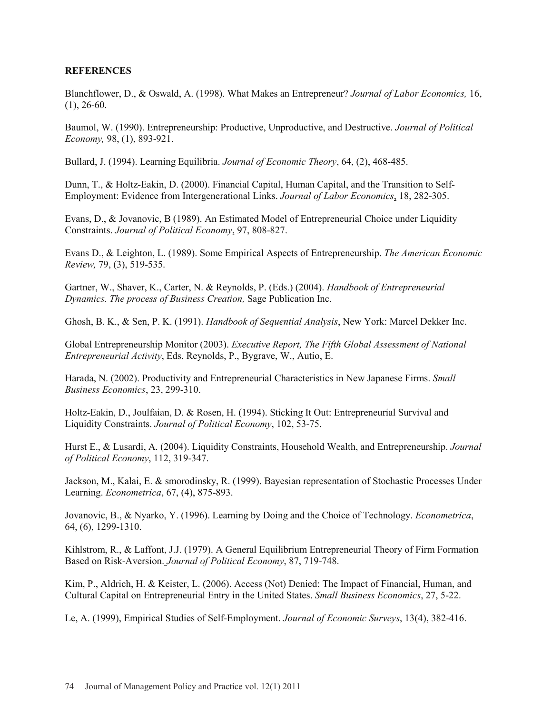## **REFERENCES**

Blanchflower, D., & Oswald, A. (1998). What Makes an Entrepreneur? *Journal of Labor Economics,* 16,  $(1), 26-60.$ 

Baumol, W. (1990). Entrepreneurship: Productive, Unproductive, and Destructive. *Journal of Political Economy,* 98, (1), 893-921.

Bullard, J. (1994). Learning Equilibria. *Journal of Economic Theory*, 64, (2), 468-485.

Dunn, T., & Holtz-Eakin, D. (2000). Financial Capital, Human Capital, and the Transition to Self-Employment: Evidence from Intergenerational Links. *Journal of Labor Economics*, 18, 282-305.

Evans, D., & Jovanovic, B (1989). An Estimated Model of Entrepreneurial Choice under Liquidity Constraints. *Journal of Political Economy*, 97, 808-827.

Evans D., & Leighton, L. (1989). Some Empirical Aspects of Entrepreneurship. *The American Economic Review,* 79, (3), 519-535.

Gartner, W., Shaver, K., Carter, N. & Reynolds, P. (Eds.) (2004). *Handbook of Entrepreneurial Dynamics. The process of Business Creation,* Sage Publication Inc.

Ghosh, B. K., & Sen, P. K. (1991). *Handbook of Sequential Analysis*, New York: Marcel Dekker Inc.

Global Entrepreneurship Monitor (2003). *Executive Report, The Fifth Global Assessment of National Entrepreneurial Activity*, Eds. Reynolds, P., Bygrave, W., Autio, E.

Harada, N. (2002). Productivity and Entrepreneurial Characteristics in New Japanese Firms. *Small Business Economics*, 23, 299-310.

Holtz-Eakin, D., Joulfaian, D. & Rosen, H. (1994). Sticking It Out: Entrepreneurial Survival and Liquidity Constraints. *Journal of Political Economy*, 102, 53-75.

Hurst E., & Lusardi, A. (2004). Liquidity Constraints, Household Wealth, and Entrepreneurship. *Journal of Political Economy*, 112, 319-347.

Jackson, M., Kalai, E. & smorodinsky, R. (1999). Bayesian representation of Stochastic Processes Under Learning. *Econometrica*, 67, (4), 875-893.

Jovanovic, B., & Nyarko, Y. (1996). Learning by Doing and the Choice of Technology. *Econometrica*, 64, (6), 1299-1310.

Kihlstrom, R., & Laffont, J.J. (1979). A General Equilibrium Entrepreneurial Theory of Firm Formation Based on Risk-Aversion. *Journal of Political Economy*, 87, 719-748.

Kim, P., Aldrich, H. & Keister, L. (2006). Access (Not) Denied: The Impact of Financial, Human, and Cultural Capital on Entrepreneurial Entry in the United States. *Small Business Economics*, 27, 5-22.

Le, A. (1999), Empirical Studies of Self-Employment. *Journal of Economic Surveys*, 13(4), 382-416.